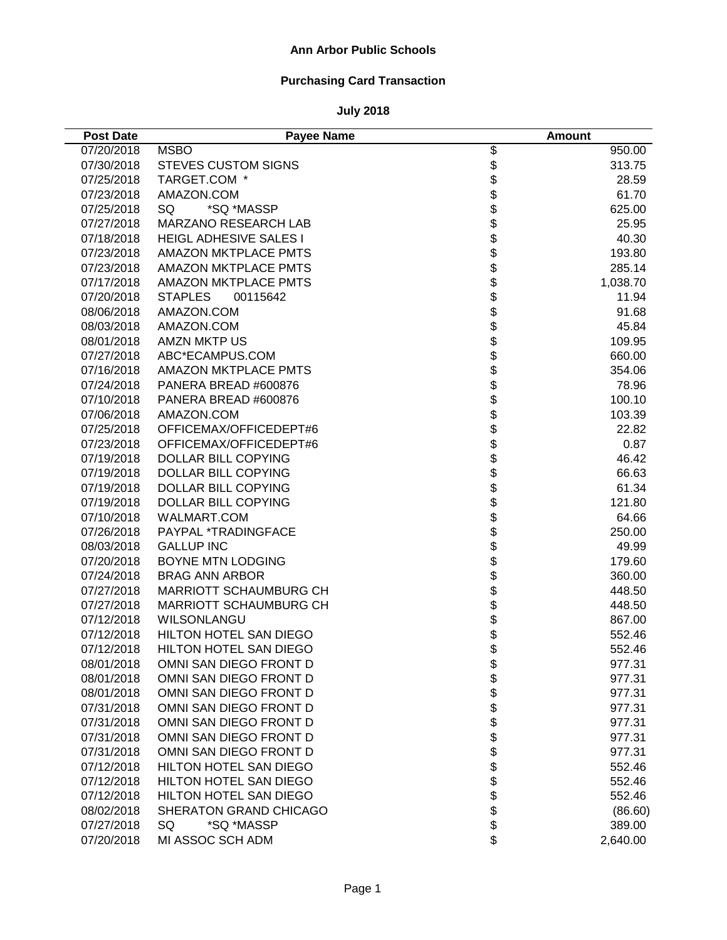# **Purchasing Card Transaction**

| <b>Post Date</b> | <b>Payee Name</b>           |                          | <b>Amount</b> |
|------------------|-----------------------------|--------------------------|---------------|
| 07/20/2018       | <b>MSBO</b>                 |                          | 950.00        |
| 07/30/2018       | <b>STEVES CUSTOM SIGNS</b>  |                          | 313.75        |
| 07/25/2018       | TARGET.COM *                |                          | 28.59         |
| 07/23/2018       | AMAZON.COM                  |                          | 61.70         |
| 07/25/2018       | *SQ *MASSP<br>SQ            |                          | 625.00        |
| 07/27/2018       | MARZANO RESEARCH LAB        |                          | 25.95         |
| 07/18/2018       | HEIGL ADHESIVE SALES I      |                          | 40.30         |
| 07/23/2018       | <b>AMAZON MKTPLACE PMTS</b> |                          | 193.80        |
| 07/23/2018       | <b>AMAZON MKTPLACE PMTS</b> |                          | 285.14        |
| 07/17/2018       | <b>AMAZON MKTPLACE PMTS</b> |                          | 1,038.70      |
| 07/20/2018       | <b>STAPLES</b><br>00115642  |                          | 11.94         |
| 08/06/2018       | AMAZON.COM                  |                          | 91.68         |
| 08/03/2018       | AMAZON.COM                  |                          | 45.84         |
| 08/01/2018       | <b>AMZN MKTP US</b>         |                          | 109.95        |
| 07/27/2018       | ABC*ECAMPUS.COM             |                          | 660.00        |
| 07/16/2018       | <b>AMAZON MKTPLACE PMTS</b> |                          | 354.06        |
| 07/24/2018       | PANERA BREAD #600876        |                          | 78.96         |
| 07/10/2018       | PANERA BREAD #600876        |                          | 100.10        |
| 07/06/2018       | AMAZON.COM                  |                          | 103.39        |
| 07/25/2018       | OFFICEMAX/OFFICEDEPT#6      |                          | 22.82         |
| 07/23/2018       | OFFICEMAX/OFFICEDEPT#6      |                          | 0.87          |
| 07/19/2018       | DOLLAR BILL COPYING         |                          | 46.42         |
| 07/19/2018       | DOLLAR BILL COPYING         |                          | 66.63         |
| 07/19/2018       | DOLLAR BILL COPYING         |                          | 61.34         |
| 07/19/2018       | DOLLAR BILL COPYING         |                          | 121.80        |
| 07/10/2018       | WALMART.COM                 |                          | 64.66         |
| 07/26/2018       | PAYPAL *TRADINGFACE         |                          | 250.00        |
| 08/03/2018       | <b>GALLUP INC</b>           |                          | 49.99         |
| 07/20/2018       | <b>BOYNE MTN LODGING</b>    |                          | 179.60        |
| 07/24/2018       | <b>BRAG ANN ARBOR</b>       |                          | 360.00        |
| 07/27/2018       | MARRIOTT SCHAUMBURG CH      |                          | 448.50        |
| 07/27/2018       | MARRIOTT SCHAUMBURG CH      |                          | 448.50        |
| 07/12/2018       | WILSONLANGU                 |                          | 867.00        |
| 07/12/2018       | HILTON HOTEL SAN DIEGO      |                          | 552.46        |
| 07/12/2018       | HILTON HOTEL SAN DIEGO      |                          | 552.46        |
| 08/01/2018       | OMNI SAN DIEGO FRONT D      | \$                       | 977.31        |
| 08/01/2018       | OMNI SAN DIEGO FRONT D      |                          | 977.31        |
| 08/01/2018       | OMNI SAN DIEGO FRONT D      |                          | 977.31        |
| 07/31/2018       | OMNI SAN DIEGO FRONT D      |                          | 977.31        |
| 07/31/2018       | OMNI SAN DIEGO FRONT D      |                          | 977.31        |
| 07/31/2018       | OMNI SAN DIEGO FRONT D      |                          | 977.31        |
| 07/31/2018       | OMNI SAN DIEGO FRONT D      | \$\$\$\$\$\$\$\$\$\$\$\$ | 977.31        |
| 07/12/2018       | HILTON HOTEL SAN DIEGO      |                          | 552.46        |
| 07/12/2018       | HILTON HOTEL SAN DIEGO      |                          | 552.46        |
| 07/12/2018       | HILTON HOTEL SAN DIEGO      |                          | 552.46        |
| 08/02/2018       | SHERATON GRAND CHICAGO      |                          | (86.60)       |
| 07/27/2018       | *SQ *MASSP<br>SQ            |                          | 389.00        |
| 07/20/2018       | MI ASSOC SCH ADM            | \$                       | 2,640.00      |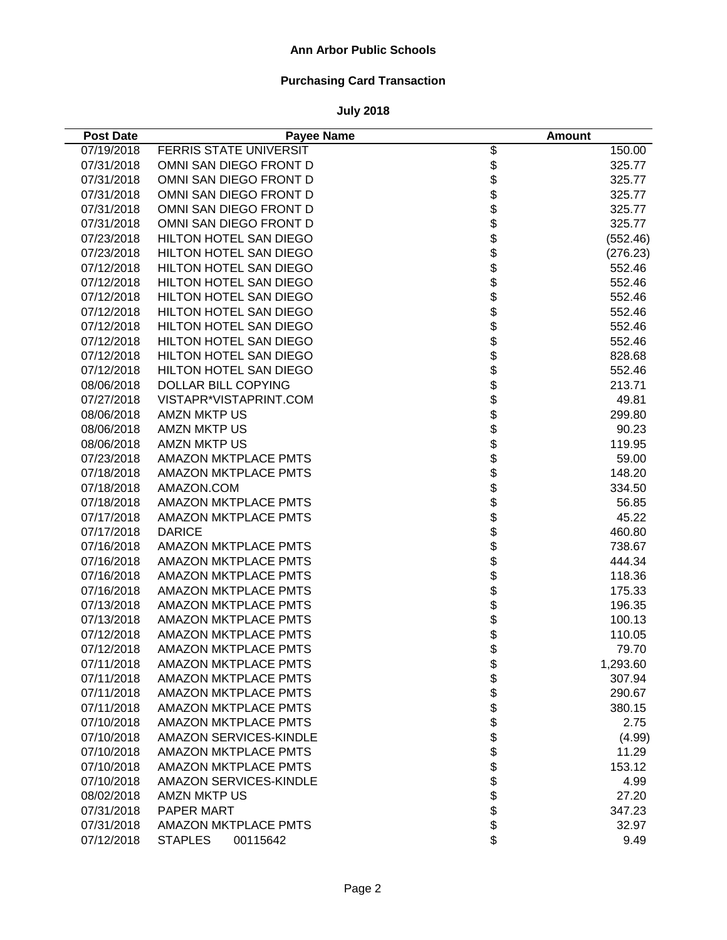# **Purchasing Card Transaction**

| <b>Post Date</b> | <b>Payee Name</b>             |                              | <b>Amount</b> |
|------------------|-------------------------------|------------------------------|---------------|
| 07/19/2018       | FERRIS STATE UNIVERSIT        |                              | 150.00        |
| 07/31/2018       | OMNI SAN DIEGO FRONT D        |                              | 325.77        |
| 07/31/2018       | OMNI SAN DIEGO FRONT D        |                              | 325.77        |
| 07/31/2018       | OMNI SAN DIEGO FRONT D        |                              | 325.77        |
| 07/31/2018       | OMNI SAN DIEGO FRONT D        |                              | 325.77        |
| 07/31/2018       | OMNI SAN DIEGO FRONT D        |                              | 325.77        |
| 07/23/2018       | HILTON HOTEL SAN DIEGO        |                              | (552.46)      |
| 07/23/2018       | HILTON HOTEL SAN DIEGO        |                              | (276.23)      |
| 07/12/2018       | HILTON HOTEL SAN DIEGO        |                              | 552.46        |
| 07/12/2018       | HILTON HOTEL SAN DIEGO        |                              | 552.46        |
| 07/12/2018       | HILTON HOTEL SAN DIEGO        |                              | 552.46        |
| 07/12/2018       | HILTON HOTEL SAN DIEGO        |                              | 552.46        |
| 07/12/2018       | HILTON HOTEL SAN DIEGO        |                              | 552.46        |
| 07/12/2018       | HILTON HOTEL SAN DIEGO        |                              | 552.46        |
| 07/12/2018       | HILTON HOTEL SAN DIEGO        |                              | 828.68        |
| 07/12/2018       | HILTON HOTEL SAN DIEGO        |                              | 552.46        |
| 08/06/2018       | <b>DOLLAR BILL COPYING</b>    |                              | 213.71        |
| 07/27/2018       | VISTAPR*VISTAPRINT.COM        |                              | 49.81         |
| 08/06/2018       | <b>AMZN MKTP US</b>           |                              | 299.80        |
| 08/06/2018       | <b>AMZN MKTP US</b>           |                              | 90.23         |
| 08/06/2018       | <b>AMZN MKTP US</b>           |                              | 119.95        |
| 07/23/2018       | <b>AMAZON MKTPLACE PMTS</b>   |                              | 59.00         |
| 07/18/2018       | <b>AMAZON MKTPLACE PMTS</b>   |                              | 148.20        |
| 07/18/2018       | AMAZON.COM                    |                              | 334.50        |
| 07/18/2018       | <b>AMAZON MKTPLACE PMTS</b>   |                              | 56.85         |
| 07/17/2018       | <b>AMAZON MKTPLACE PMTS</b>   |                              | 45.22         |
| 07/17/2018       | <b>DARICE</b>                 |                              | 460.80        |
| 07/16/2018       | <b>AMAZON MKTPLACE PMTS</b>   |                              | 738.67        |
| 07/16/2018       | <b>AMAZON MKTPLACE PMTS</b>   |                              | 444.34        |
| 07/16/2018       | <b>AMAZON MKTPLACE PMTS</b>   |                              | 118.36        |
| 07/16/2018       | <b>AMAZON MKTPLACE PMTS</b>   |                              | 175.33        |
| 07/13/2018       | <b>AMAZON MKTPLACE PMTS</b>   |                              | 196.35        |
| 07/13/2018       | <b>AMAZON MKTPLACE PMTS</b>   |                              | 100.13        |
| 07/12/2018       | <b>AMAZON MKTPLACE PMTS</b>   |                              | 110.05        |
| 07/12/2018       | <b>AMAZON MKTPLACE PMTS</b>   |                              | 79.70         |
| 07/11/2018       | <b>AMAZON MKTPLACE PMTS</b>   | \$                           | 1,293.60      |
| 07/11/2018       | <b>AMAZON MKTPLACE PMTS</b>   |                              | 307.94        |
| 07/11/2018       | <b>AMAZON MKTPLACE PMTS</b>   |                              | 290.67        |
| 07/11/2018       | <b>AMAZON MKTPLACE PMTS</b>   |                              | 380.15        |
| 07/10/2018       | <b>AMAZON MKTPLACE PMTS</b>   |                              | 2.75          |
| 07/10/2018       | <b>AMAZON SERVICES-KINDLE</b> |                              | (4.99)        |
| 07/10/2018       | <b>AMAZON MKTPLACE PMTS</b>   |                              | 11.29         |
| 07/10/2018       | <b>AMAZON MKTPLACE PMTS</b>   |                              | 153.12        |
| 07/10/2018       | AMAZON SERVICES-KINDLE        |                              | 4.99          |
| 08/02/2018       | <b>AMZN MKTP US</b>           |                              | 27.20         |
| 07/31/2018       | PAPER MART                    |                              | 347.23        |
| 07/31/2018       | <b>AMAZON MKTPLACE PMTS</b>   |                              | 32.97         |
| 07/12/2018       | <b>STAPLES</b><br>00115642    | \$\$\$\$\$\$\$\$\$\$\$\$\$\$ | 9.49          |
|                  |                               |                              |               |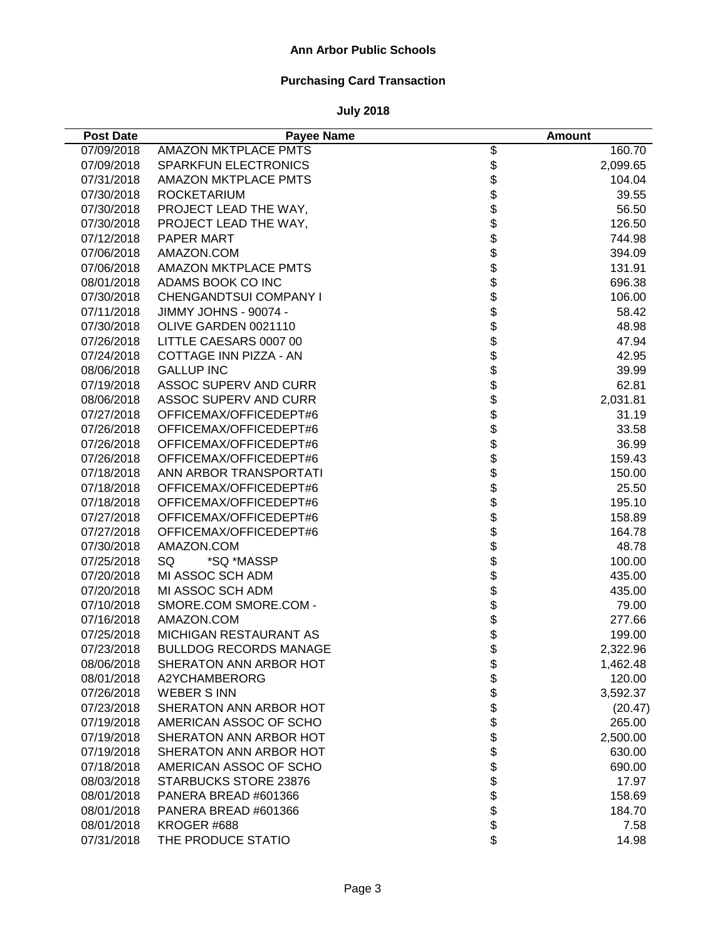# **Purchasing Card Transaction**

| <b>Post Date</b> | <b>Payee Name</b>             |                            | <b>Amount</b> |
|------------------|-------------------------------|----------------------------|---------------|
| 07/09/2018       | <b>AMAZON MKTPLACE PMTS</b>   |                            | 160.70        |
| 07/09/2018       | SPARKFUN ELECTRONICS          |                            | 2,099.65      |
| 07/31/2018       | <b>AMAZON MKTPLACE PMTS</b>   |                            | 104.04        |
| 07/30/2018       | <b>ROCKETARIUM</b>            |                            | 39.55         |
| 07/30/2018       | PROJECT LEAD THE WAY,         |                            | 56.50         |
| 07/30/2018       | PROJECT LEAD THE WAY,         |                            | 126.50        |
| 07/12/2018       | <b>PAPER MART</b>             |                            | 744.98        |
| 07/06/2018       | AMAZON.COM                    |                            | 394.09        |
| 07/06/2018       | <b>AMAZON MKTPLACE PMTS</b>   |                            | 131.91        |
| 08/01/2018       | ADAMS BOOK CO INC             |                            | 696.38        |
| 07/30/2018       | CHENGANDTSUI COMPANY I        |                            | 106.00        |
| 07/11/2018       | JIMMY JOHNS - 90074 -         |                            | 58.42         |
| 07/30/2018       | OLIVE GARDEN 0021110          |                            | 48.98         |
| 07/26/2018       | LITTLE CAESARS 0007 00        |                            | 47.94         |
| 07/24/2018       | COTTAGE INN PIZZA - AN        |                            | 42.95         |
| 08/06/2018       | <b>GALLUP INC</b>             |                            | 39.99         |
| 07/19/2018       | ASSOC SUPERV AND CURR         |                            | 62.81         |
| 08/06/2018       | <b>ASSOC SUPERV AND CURR</b>  |                            | 2,031.81      |
| 07/27/2018       | OFFICEMAX/OFFICEDEPT#6        |                            | 31.19         |
| 07/26/2018       | OFFICEMAX/OFFICEDEPT#6        |                            | 33.58         |
| 07/26/2018       | OFFICEMAX/OFFICEDEPT#6        |                            | 36.99         |
| 07/26/2018       | OFFICEMAX/OFFICEDEPT#6        |                            | 159.43        |
| 07/18/2018       | ANN ARBOR TRANSPORTATI        |                            | 150.00        |
| 07/18/2018       | OFFICEMAX/OFFICEDEPT#6        |                            | 25.50         |
| 07/18/2018       | OFFICEMAX/OFFICEDEPT#6        |                            | 195.10        |
| 07/27/2018       | OFFICEMAX/OFFICEDEPT#6        |                            | 158.89        |
| 07/27/2018       | OFFICEMAX/OFFICEDEPT#6        |                            | 164.78        |
| 07/30/2018       | AMAZON.COM                    |                            | 48.78         |
| 07/25/2018       | *SQ *MASSP<br>SQ              |                            | 100.00        |
| 07/20/2018       | MI ASSOC SCH ADM              |                            | 435.00        |
| 07/20/2018       | MI ASSOC SCH ADM              |                            | 435.00        |
| 07/10/2018       | SMORE.COM SMORE.COM -         |                            | 79.00         |
| 07/16/2018       | AMAZON.COM                    |                            | 277.66        |
| 07/25/2018       | MICHIGAN RESTAURANT AS        |                            | 199.00        |
| 07/23/2018       | <b>BULLDOG RECORDS MANAGE</b> |                            | 2,322.96      |
| 08/06/2018       | SHERATON ANN ARBOR HOT        | \$                         | 1,462.48      |
| 08/01/2018       | A2YCHAMBERORG                 |                            | 120.00        |
| 07/26/2018       | <b>WEBER SINN</b>             |                            | 3,592.37      |
| 07/23/2018       | SHERATON ANN ARBOR HOT        |                            | (20.47)       |
| 07/19/2018       | AMERICAN ASSOC OF SCHO        |                            | 265.00        |
| 07/19/2018       | SHERATON ANN ARBOR HOT        |                            | 2,500.00      |
| 07/19/2018       | SHERATON ANN ARBOR HOT        |                            | 630.00        |
| 07/18/2018       | AMERICAN ASSOC OF SCHO        | \$\$\$\$\$\$\$\$\$\$\$\$\$ | 690.00        |
| 08/03/2018       | STARBUCKS STORE 23876         |                            | 17.97         |
| 08/01/2018       | PANERA BREAD #601366          |                            | 158.69        |
| 08/01/2018       | PANERA BREAD #601366          |                            | 184.70        |
| 08/01/2018       | KROGER #688                   |                            | 7.58          |
| 07/31/2018       | THE PRODUCE STATIO            | \$                         | 14.98         |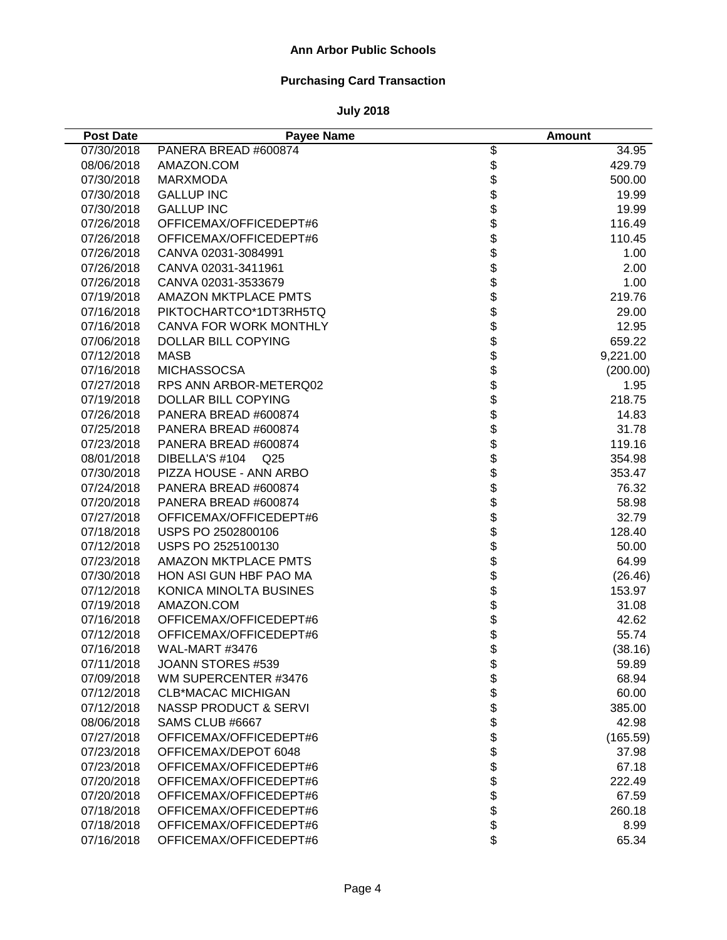# **Purchasing Card Transaction**

| <b>Post Date</b> | <b>Payee Name</b>                 |                   | <b>Amount</b> |
|------------------|-----------------------------------|-------------------|---------------|
| 07/30/2018       | PANERA BREAD #600874              |                   | 34.95         |
| 08/06/2018       | AMAZON.COM                        |                   | 429.79        |
| 07/30/2018       | <b>MARXMODA</b>                   |                   | 500.00        |
| 07/30/2018       | <b>GALLUP INC</b>                 |                   | 19.99         |
| 07/30/2018       | <b>GALLUP INC</b>                 |                   | 19.99         |
| 07/26/2018       | OFFICEMAX/OFFICEDEPT#6            |                   | 116.49        |
| 07/26/2018       | OFFICEMAX/OFFICEDEPT#6            |                   | 110.45        |
| 07/26/2018       | CANVA 02031-3084991               |                   | 1.00          |
| 07/26/2018       | CANVA 02031-3411961               |                   | 2.00          |
| 07/26/2018       | CANVA 02031-3533679               |                   | 1.00          |
| 07/19/2018       | <b>AMAZON MKTPLACE PMTS</b>       |                   | 219.76        |
| 07/16/2018       | PIKTOCHARTCO*1DT3RH5TQ            |                   | 29.00         |
| 07/16/2018       | CANVA FOR WORK MONTHLY            |                   | 12.95         |
| 07/06/2018       | <b>DOLLAR BILL COPYING</b>        |                   | 659.22        |
| 07/12/2018       | <b>MASB</b>                       |                   | 9,221.00      |
| 07/16/2018       | <b>MICHASSOCSA</b>                |                   | (200.00)      |
| 07/27/2018       | RPS ANN ARBOR-METERQ02            |                   | 1.95          |
| 07/19/2018       | <b>DOLLAR BILL COPYING</b>        |                   | 218.75        |
| 07/26/2018       | PANERA BREAD #600874              |                   | 14.83         |
| 07/25/2018       | PANERA BREAD #600874              |                   | 31.78         |
| 07/23/2018       | PANERA BREAD #600874              |                   | 119.16        |
| 08/01/2018       | DIBELLA'S #104<br>Q <sub>25</sub> |                   | 354.98        |
| 07/30/2018       | PIZZA HOUSE - ANN ARBO            |                   | 353.47        |
| 07/24/2018       | PANERA BREAD #600874              |                   | 76.32         |
| 07/20/2018       | PANERA BREAD #600874              |                   | 58.98         |
| 07/27/2018       | OFFICEMAX/OFFICEDEPT#6            |                   | 32.79         |
| 07/18/2018       | USPS PO 2502800106                |                   | 128.40        |
| 07/12/2018       | USPS PO 2525100130                |                   | 50.00         |
| 07/23/2018       | <b>AMAZON MKTPLACE PMTS</b>       |                   | 64.99         |
| 07/30/2018       | HON ASI GUN HBF PAO MA            |                   | (26.46)       |
| 07/12/2018       | KONICA MINOLTA BUSINES            |                   | 153.97        |
| 07/19/2018       | AMAZON.COM                        |                   | 31.08         |
| 07/16/2018       | OFFICEMAX/OFFICEDEPT#6            |                   | 42.62         |
| 07/12/2018       | OFFICEMAX/OFFICEDEPT#6            |                   | 55.74         |
| 07/16/2018       | WAL-MART #3476                    |                   | (38.16)       |
| 07/11/2018       | JOANN STORES #539                 | \$                | 59.89         |
| 07/09/2018       | WM SUPERCENTER #3476              |                   | 68.94         |
| 07/12/2018       | <b>CLB*MACAC MICHIGAN</b>         |                   | 60.00         |
| 07/12/2018       | <b>NASSP PRODUCT &amp; SERVI</b>  |                   | 385.00        |
| 08/06/2018       | SAMS CLUB #6667                   |                   | 42.98         |
| 07/27/2018       | OFFICEMAX/OFFICEDEPT#6            |                   | (165.59)      |
| 07/23/2018       | OFFICEMAX/DEPOT 6048              |                   | 37.98         |
| 07/23/2018       | OFFICEMAX/OFFICEDEPT#6            |                   | 67.18         |
| 07/20/2018       | OFFICEMAX/OFFICEDEPT#6            | <b>8888888888</b> | 222.49        |
| 07/20/2018       | OFFICEMAX/OFFICEDEPT#6            |                   | 67.59         |
| 07/18/2018       | OFFICEMAX/OFFICEDEPT#6            |                   | 260.18        |
| 07/18/2018       | OFFICEMAX/OFFICEDEPT#6            |                   | 8.99          |
| 07/16/2018       | OFFICEMAX/OFFICEDEPT#6            | \$                | 65.34         |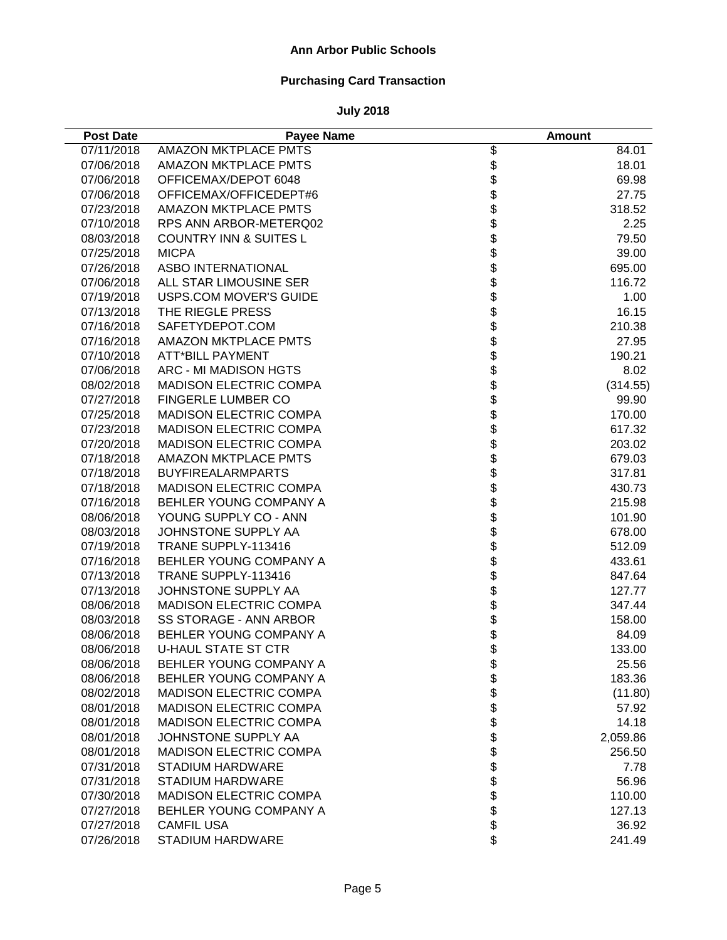# **Purchasing Card Transaction**

| <b>Post Date</b> | <b>Payee Name</b>                 |                          | <b>Amount</b> |
|------------------|-----------------------------------|--------------------------|---------------|
| 07/11/2018       | <b>AMAZON MKTPLACE PMTS</b>       |                          | 84.01         |
| 07/06/2018       | AMAZON MKTPLACE PMTS              |                          | 18.01         |
| 07/06/2018       | OFFICEMAX/DEPOT 6048              |                          | 69.98         |
| 07/06/2018       | OFFICEMAX/OFFICEDEPT#6            |                          | 27.75         |
| 07/23/2018       | <b>AMAZON MKTPLACE PMTS</b>       |                          | 318.52        |
| 07/10/2018       | RPS ANN ARBOR-METERQ02            |                          | 2.25          |
| 08/03/2018       | <b>COUNTRY INN &amp; SUITES L</b> |                          | 79.50         |
| 07/25/2018       | <b>MICPA</b>                      |                          | 39.00         |
| 07/26/2018       | ASBO INTERNATIONAL                |                          | 695.00        |
| 07/06/2018       | ALL STAR LIMOUSINE SER            |                          | 116.72        |
| 07/19/2018       | <b>USPS.COM MOVER'S GUIDE</b>     |                          | 1.00          |
| 07/13/2018       | THE RIEGLE PRESS                  |                          | 16.15         |
| 07/16/2018       | SAFETYDEPOT.COM                   |                          | 210.38        |
| 07/16/2018       | <b>AMAZON MKTPLACE PMTS</b>       |                          | 27.95         |
| 07/10/2018       | <b>ATT*BILL PAYMENT</b>           |                          | 190.21        |
| 07/06/2018       | ARC - MI MADISON HGTS             |                          | 8.02          |
| 08/02/2018       | <b>MADISON ELECTRIC COMPA</b>     |                          | (314.55)      |
| 07/27/2018       | FINGERLE LUMBER CO                |                          | 99.90         |
| 07/25/2018       | <b>MADISON ELECTRIC COMPA</b>     |                          | 170.00        |
| 07/23/2018       | <b>MADISON ELECTRIC COMPA</b>     |                          | 617.32        |
| 07/20/2018       | <b>MADISON ELECTRIC COMPA</b>     |                          | 203.02        |
| 07/18/2018       | AMAZON MKTPLACE PMTS              |                          | 679.03        |
| 07/18/2018       | <b>BUYFIREALARMPARTS</b>          |                          | 317.81        |
| 07/18/2018       | <b>MADISON ELECTRIC COMPA</b>     |                          | 430.73        |
| 07/16/2018       | BEHLER YOUNG COMPANY A            |                          | 215.98        |
| 08/06/2018       | YOUNG SUPPLY CO - ANN             |                          | 101.90        |
| 08/03/2018       | JOHNSTONE SUPPLY AA               |                          | 678.00        |
| 07/19/2018       | TRANE SUPPLY-113416               |                          | 512.09        |
| 07/16/2018       | BEHLER YOUNG COMPANY A            |                          | 433.61        |
| 07/13/2018       | TRANE SUPPLY-113416               |                          | 847.64        |
| 07/13/2018       | JOHNSTONE SUPPLY AA               |                          | 127.77        |
| 08/06/2018       | <b>MADISON ELECTRIC COMPA</b>     |                          | 347.44        |
| 08/03/2018       | SS STORAGE - ANN ARBOR            |                          | 158.00        |
| 08/06/2018       | BEHLER YOUNG COMPANY A            |                          | 84.09         |
| 08/06/2018       | <b>U-HAUL STATE ST CTR</b>        |                          | 133.00        |
| 08/06/2018       | BEHLER YOUNG COMPANY A            | \$                       | 25.56         |
| 08/06/2018       | BEHLER YOUNG COMPANY A            |                          | 183.36        |
| 08/02/2018       | <b>MADISON ELECTRIC COMPA</b>     |                          | (11.80)       |
| 08/01/2018       | <b>MADISON ELECTRIC COMPA</b>     |                          | 57.92         |
| 08/01/2018       | <b>MADISON ELECTRIC COMPA</b>     |                          | 14.18         |
| 08/01/2018       | JOHNSTONE SUPPLY AA               |                          | 2,059.86      |
| 08/01/2018       | <b>MADISON ELECTRIC COMPA</b>     |                          | 256.50        |
| 07/31/2018       | <b>STADIUM HARDWARE</b>           | \$\$\$\$\$\$\$\$\$\$\$\$ | 7.78          |
| 07/31/2018       | STADIUM HARDWARE                  |                          | 56.96         |
| 07/30/2018       | <b>MADISON ELECTRIC COMPA</b>     |                          | 110.00        |
| 07/27/2018       | BEHLER YOUNG COMPANY A            |                          | 127.13        |
| 07/27/2018       | <b>CAMFIL USA</b>                 |                          | 36.92         |
| 07/26/2018       | STADIUM HARDWARE                  | \$                       | 241.49        |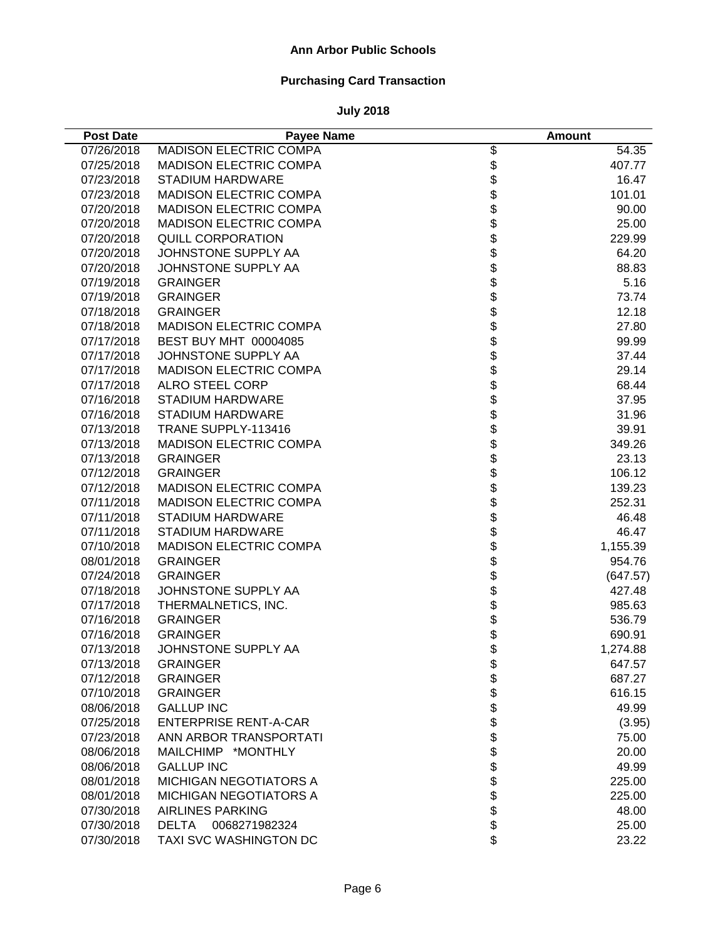# **Purchasing Card Transaction**

| <b>Post Date</b> | <b>Payee Name</b>             |                          | <b>Amount</b> |
|------------------|-------------------------------|--------------------------|---------------|
| 07/26/2018       | <b>MADISON ELECTRIC COMPA</b> |                          | 54.35         |
| 07/25/2018       | <b>MADISON ELECTRIC COMPA</b> |                          | 407.77        |
| 07/23/2018       | STADIUM HARDWARE              |                          | 16.47         |
| 07/23/2018       | <b>MADISON ELECTRIC COMPA</b> |                          | 101.01        |
| 07/20/2018       | <b>MADISON ELECTRIC COMPA</b> |                          | 90.00         |
| 07/20/2018       | MADISON ELECTRIC COMPA        |                          | 25.00         |
| 07/20/2018       | <b>QUILL CORPORATION</b>      |                          | 229.99        |
| 07/20/2018       | JOHNSTONE SUPPLY AA           |                          | 64.20         |
| 07/20/2018       | JOHNSTONE SUPPLY AA           |                          | 88.83         |
| 07/19/2018       | <b>GRAINGER</b>               |                          | 5.16          |
| 07/19/2018       | <b>GRAINGER</b>               |                          | 73.74         |
| 07/18/2018       | <b>GRAINGER</b>               |                          | 12.18         |
| 07/18/2018       | <b>MADISON ELECTRIC COMPA</b> |                          | 27.80         |
| 07/17/2018       | BEST BUY MHT 00004085         |                          | 99.99         |
| 07/17/2018       | JOHNSTONE SUPPLY AA           |                          | 37.44         |
| 07/17/2018       | <b>MADISON ELECTRIC COMPA</b> |                          | 29.14         |
| 07/17/2018       | <b>ALRO STEEL CORP</b>        |                          | 68.44         |
| 07/16/2018       | STADIUM HARDWARE              |                          | 37.95         |
| 07/16/2018       | STADIUM HARDWARE              |                          | 31.96         |
| 07/13/2018       | TRANE SUPPLY-113416           |                          | 39.91         |
| 07/13/2018       | MADISON ELECTRIC COMPA        |                          | 349.26        |
| 07/13/2018       | <b>GRAINGER</b>               |                          | 23.13         |
| 07/12/2018       | <b>GRAINGER</b>               |                          | 106.12        |
| 07/12/2018       | <b>MADISON ELECTRIC COMPA</b> |                          | 139.23        |
| 07/11/2018       | <b>MADISON ELECTRIC COMPA</b> |                          | 252.31        |
| 07/11/2018       | <b>STADIUM HARDWARE</b>       |                          | 46.48         |
| 07/11/2018       | STADIUM HARDWARE              |                          | 46.47         |
| 07/10/2018       | <b>MADISON ELECTRIC COMPA</b> |                          | 1,155.39      |
| 08/01/2018       | <b>GRAINGER</b>               |                          | 954.76        |
| 07/24/2018       | <b>GRAINGER</b>               |                          | (647.57)      |
| 07/18/2018       | JOHNSTONE SUPPLY AA           |                          | 427.48        |
| 07/17/2018       | THERMALNETICS, INC.           |                          | 985.63        |
| 07/16/2018       | <b>GRAINGER</b>               |                          | 536.79        |
| 07/16/2018       | <b>GRAINGER</b>               |                          | 690.91        |
| 07/13/2018       | JOHNSTONE SUPPLY AA           |                          | 1,274.88      |
| 07/13/2018       | <b>GRAINGER</b>               | \$                       | 647.57        |
| 07/12/2018       | <b>GRAINGER</b>               | \$                       | 687.27        |
| 07/10/2018       | <b>GRAINGER</b>               |                          | 616.15        |
| 08/06/2018       | <b>GALLUP INC</b>             |                          | 49.99         |
| 07/25/2018       | <b>ENTERPRISE RENT-A-CAR</b>  |                          | (3.95)        |
| 07/23/2018       | ANN ARBOR TRANSPORTATI        |                          | 75.00         |
| 08/06/2018       | MAILCHIMP *MONTHLY            | \$\$\$\$\$\$\$\$\$\$\$\$ | 20.00         |
| 08/06/2018       | <b>GALLUP INC</b>             |                          | 49.99         |
| 08/01/2018       | <b>MICHIGAN NEGOTIATORS A</b> |                          | 225.00        |
| 08/01/2018       | <b>MICHIGAN NEGOTIATORS A</b> |                          | 225.00        |
| 07/30/2018       | <b>AIRLINES PARKING</b>       |                          | 48.00         |
| 07/30/2018       | DELTA<br>0068271982324        |                          | 25.00         |
| 07/30/2018       | TAXI SVC WASHINGTON DC        | \$                       | 23.22         |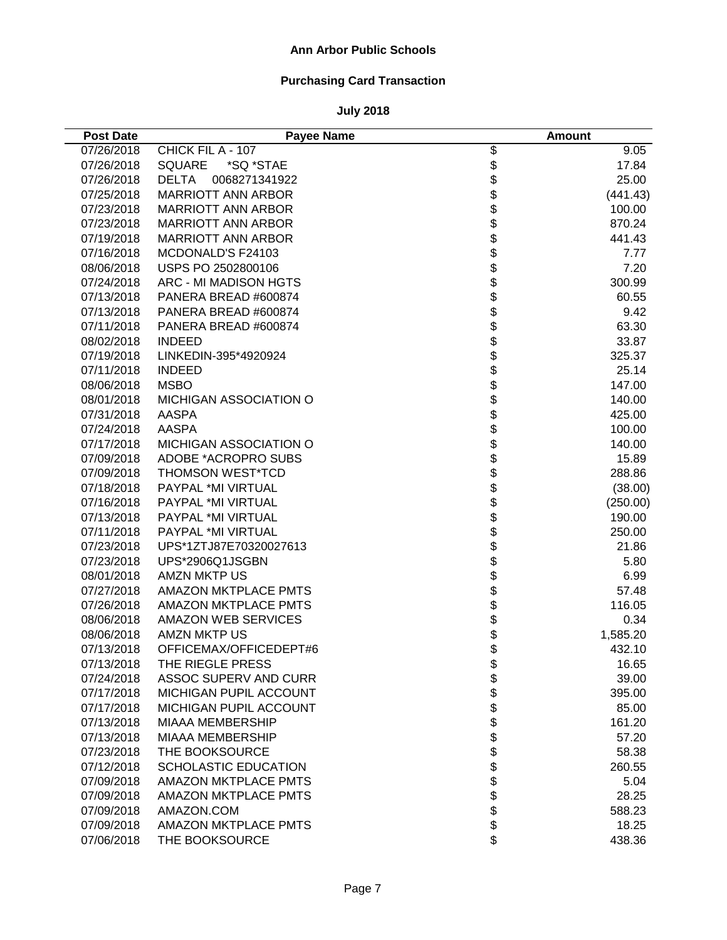# **Purchasing Card Transaction**

| 07/26/2018<br>CHICK FIL A - 107<br>9.05<br>17.84<br>07/26/2018<br>SQUARE<br>*SQ *STAE<br><b>DELTA</b><br>25.00<br>07/26/2018<br>0068271341922<br>07/25/2018<br><b>MARRIOTT ANN ARBOR</b><br>(441.43)<br><b>MARRIOTT ANN ARBOR</b><br>07/23/2018<br>100.00<br><b>MARRIOTT ANN ARBOR</b><br>870.24<br>07/23/2018<br>07/19/2018<br><b>MARRIOTT ANN ARBOR</b><br>441.43<br>MCDONALD'S F24103<br>07/16/2018<br>7.77<br>USPS PO 2502800106<br>7.20<br>08/06/2018<br>ARC - MI MADISON HGTS<br>300.99<br>07/24/2018<br>PANERA BREAD #600874<br>07/13/2018<br>60.55<br>PANERA BREAD #600874<br>07/13/2018<br>9.42<br>PANERA BREAD #600874<br>63.30<br>07/11/2018<br>33.87<br>08/02/2018<br><b>INDEED</b><br>LINKEDIN-395*4920924<br>325.37<br>07/19/2018<br><b>INDEED</b><br>25.14<br>07/11/2018<br><b>MSBO</b><br>147.00<br>08/06/2018<br>MICHIGAN ASSOCIATION O<br>140.00<br>08/01/2018<br>07/31/2018<br><b>AASPA</b><br>425.00<br>07/24/2018<br><b>AASPA</b><br>100.00<br>07/17/2018<br>MICHIGAN ASSOCIATION O<br>140.00<br>07/09/2018<br>ADOBE *ACROPRO SUBS<br>15.89<br>07/09/2018<br><b>THOMSON WEST*TCD</b><br>288.86<br>07/18/2018<br>PAYPAL *MI VIRTUAL<br>(38.00)<br>07/16/2018<br>PAYPAL *MI VIRTUAL<br>(250.00)<br>07/13/2018<br>PAYPAL *MI VIRTUAL<br>190.00<br>07/11/2018<br>PAYPAL *MI VIRTUAL<br>250.00<br>07/23/2018<br>UPS*1ZTJ87E70320027613<br>21.86<br>07/23/2018<br>UPS*2906Q1JSGBN<br>5.80<br><b>AMZN MKTP US</b><br>6.99<br>08/01/2018<br><b>AMAZON MKTPLACE PMTS</b><br>07/27/2018<br>57.48<br><b>AMAZON MKTPLACE PMTS</b><br>07/26/2018<br>116.05<br>AMAZON WEB SERVICES<br>08/06/2018<br>0.34<br><b>AMZN MKTP US</b><br>08/06/2018<br>1,585.20<br>432.10<br>07/13/2018<br>OFFICEMAX/OFFICEDEPT#6<br>\$<br>07/13/2018<br>THE RIEGLE PRESS<br>16.65<br><b>8888888888</b><br>ASSOC SUPERV AND CURR<br>39.00<br>07/24/2018<br>MICHIGAN PUPIL ACCOUNT<br>07/17/2018<br>395.00<br>MICHIGAN PUPIL ACCOUNT<br>85.00<br>07/17/2018<br>07/13/2018<br><b>MIAAA MEMBERSHIP</b><br>161.20<br>57.20<br>07/13/2018<br><b>MIAAA MEMBERSHIP</b><br>58.38<br>07/23/2018<br>THE BOOKSOURCE<br>07/12/2018<br>SCHOLASTIC EDUCATION<br>260.55<br>07/09/2018<br><b>AMAZON MKTPLACE PMTS</b><br>5.04<br><b>AMAZON MKTPLACE PMTS</b><br>28.25<br>07/09/2018<br>07/09/2018<br>AMAZON.COM<br>588.23<br>18.25<br>07/09/2018<br><b>AMAZON MKTPLACE PMTS</b><br>\$<br>THE BOOKSOURCE<br>438.36<br>07/06/2018 | <b>Post Date</b> | <b>Payee Name</b> | <b>Amount</b> |
|--------------------------------------------------------------------------------------------------------------------------------------------------------------------------------------------------------------------------------------------------------------------------------------------------------------------------------------------------------------------------------------------------------------------------------------------------------------------------------------------------------------------------------------------------------------------------------------------------------------------------------------------------------------------------------------------------------------------------------------------------------------------------------------------------------------------------------------------------------------------------------------------------------------------------------------------------------------------------------------------------------------------------------------------------------------------------------------------------------------------------------------------------------------------------------------------------------------------------------------------------------------------------------------------------------------------------------------------------------------------------------------------------------------------------------------------------------------------------------------------------------------------------------------------------------------------------------------------------------------------------------------------------------------------------------------------------------------------------------------------------------------------------------------------------------------------------------------------------------------------------------------------------------------------------------------------------------------------------------------------------------------------------------------------------------------------------------------------------------------------------------------------------------------------------------------------------------------------------------------------------------------------------------------------------------------------------------------------------------------------------------------------------|------------------|-------------------|---------------|
|                                                                                                                                                                                                                                                                                                                                                                                                                                                                                                                                                                                                                                                                                                                                                                                                                                                                                                                                                                                                                                                                                                                                                                                                                                                                                                                                                                                                                                                                                                                                                                                                                                                                                                                                                                                                                                                                                                                                                                                                                                                                                                                                                                                                                                                                                                                                                                                                  |                  |                   |               |
|                                                                                                                                                                                                                                                                                                                                                                                                                                                                                                                                                                                                                                                                                                                                                                                                                                                                                                                                                                                                                                                                                                                                                                                                                                                                                                                                                                                                                                                                                                                                                                                                                                                                                                                                                                                                                                                                                                                                                                                                                                                                                                                                                                                                                                                                                                                                                                                                  |                  |                   |               |
|                                                                                                                                                                                                                                                                                                                                                                                                                                                                                                                                                                                                                                                                                                                                                                                                                                                                                                                                                                                                                                                                                                                                                                                                                                                                                                                                                                                                                                                                                                                                                                                                                                                                                                                                                                                                                                                                                                                                                                                                                                                                                                                                                                                                                                                                                                                                                                                                  |                  |                   |               |
|                                                                                                                                                                                                                                                                                                                                                                                                                                                                                                                                                                                                                                                                                                                                                                                                                                                                                                                                                                                                                                                                                                                                                                                                                                                                                                                                                                                                                                                                                                                                                                                                                                                                                                                                                                                                                                                                                                                                                                                                                                                                                                                                                                                                                                                                                                                                                                                                  |                  |                   |               |
|                                                                                                                                                                                                                                                                                                                                                                                                                                                                                                                                                                                                                                                                                                                                                                                                                                                                                                                                                                                                                                                                                                                                                                                                                                                                                                                                                                                                                                                                                                                                                                                                                                                                                                                                                                                                                                                                                                                                                                                                                                                                                                                                                                                                                                                                                                                                                                                                  |                  |                   |               |
|                                                                                                                                                                                                                                                                                                                                                                                                                                                                                                                                                                                                                                                                                                                                                                                                                                                                                                                                                                                                                                                                                                                                                                                                                                                                                                                                                                                                                                                                                                                                                                                                                                                                                                                                                                                                                                                                                                                                                                                                                                                                                                                                                                                                                                                                                                                                                                                                  |                  |                   |               |
|                                                                                                                                                                                                                                                                                                                                                                                                                                                                                                                                                                                                                                                                                                                                                                                                                                                                                                                                                                                                                                                                                                                                                                                                                                                                                                                                                                                                                                                                                                                                                                                                                                                                                                                                                                                                                                                                                                                                                                                                                                                                                                                                                                                                                                                                                                                                                                                                  |                  |                   |               |
|                                                                                                                                                                                                                                                                                                                                                                                                                                                                                                                                                                                                                                                                                                                                                                                                                                                                                                                                                                                                                                                                                                                                                                                                                                                                                                                                                                                                                                                                                                                                                                                                                                                                                                                                                                                                                                                                                                                                                                                                                                                                                                                                                                                                                                                                                                                                                                                                  |                  |                   |               |
|                                                                                                                                                                                                                                                                                                                                                                                                                                                                                                                                                                                                                                                                                                                                                                                                                                                                                                                                                                                                                                                                                                                                                                                                                                                                                                                                                                                                                                                                                                                                                                                                                                                                                                                                                                                                                                                                                                                                                                                                                                                                                                                                                                                                                                                                                                                                                                                                  |                  |                   |               |
|                                                                                                                                                                                                                                                                                                                                                                                                                                                                                                                                                                                                                                                                                                                                                                                                                                                                                                                                                                                                                                                                                                                                                                                                                                                                                                                                                                                                                                                                                                                                                                                                                                                                                                                                                                                                                                                                                                                                                                                                                                                                                                                                                                                                                                                                                                                                                                                                  |                  |                   |               |
|                                                                                                                                                                                                                                                                                                                                                                                                                                                                                                                                                                                                                                                                                                                                                                                                                                                                                                                                                                                                                                                                                                                                                                                                                                                                                                                                                                                                                                                                                                                                                                                                                                                                                                                                                                                                                                                                                                                                                                                                                                                                                                                                                                                                                                                                                                                                                                                                  |                  |                   |               |
|                                                                                                                                                                                                                                                                                                                                                                                                                                                                                                                                                                                                                                                                                                                                                                                                                                                                                                                                                                                                                                                                                                                                                                                                                                                                                                                                                                                                                                                                                                                                                                                                                                                                                                                                                                                                                                                                                                                                                                                                                                                                                                                                                                                                                                                                                                                                                                                                  |                  |                   |               |
|                                                                                                                                                                                                                                                                                                                                                                                                                                                                                                                                                                                                                                                                                                                                                                                                                                                                                                                                                                                                                                                                                                                                                                                                                                                                                                                                                                                                                                                                                                                                                                                                                                                                                                                                                                                                                                                                                                                                                                                                                                                                                                                                                                                                                                                                                                                                                                                                  |                  |                   |               |
|                                                                                                                                                                                                                                                                                                                                                                                                                                                                                                                                                                                                                                                                                                                                                                                                                                                                                                                                                                                                                                                                                                                                                                                                                                                                                                                                                                                                                                                                                                                                                                                                                                                                                                                                                                                                                                                                                                                                                                                                                                                                                                                                                                                                                                                                                                                                                                                                  |                  |                   |               |
|                                                                                                                                                                                                                                                                                                                                                                                                                                                                                                                                                                                                                                                                                                                                                                                                                                                                                                                                                                                                                                                                                                                                                                                                                                                                                                                                                                                                                                                                                                                                                                                                                                                                                                                                                                                                                                                                                                                                                                                                                                                                                                                                                                                                                                                                                                                                                                                                  |                  |                   |               |
|                                                                                                                                                                                                                                                                                                                                                                                                                                                                                                                                                                                                                                                                                                                                                                                                                                                                                                                                                                                                                                                                                                                                                                                                                                                                                                                                                                                                                                                                                                                                                                                                                                                                                                                                                                                                                                                                                                                                                                                                                                                                                                                                                                                                                                                                                                                                                                                                  |                  |                   |               |
|                                                                                                                                                                                                                                                                                                                                                                                                                                                                                                                                                                                                                                                                                                                                                                                                                                                                                                                                                                                                                                                                                                                                                                                                                                                                                                                                                                                                                                                                                                                                                                                                                                                                                                                                                                                                                                                                                                                                                                                                                                                                                                                                                                                                                                                                                                                                                                                                  |                  |                   |               |
|                                                                                                                                                                                                                                                                                                                                                                                                                                                                                                                                                                                                                                                                                                                                                                                                                                                                                                                                                                                                                                                                                                                                                                                                                                                                                                                                                                                                                                                                                                                                                                                                                                                                                                                                                                                                                                                                                                                                                                                                                                                                                                                                                                                                                                                                                                                                                                                                  |                  |                   |               |
|                                                                                                                                                                                                                                                                                                                                                                                                                                                                                                                                                                                                                                                                                                                                                                                                                                                                                                                                                                                                                                                                                                                                                                                                                                                                                                                                                                                                                                                                                                                                                                                                                                                                                                                                                                                                                                                                                                                                                                                                                                                                                                                                                                                                                                                                                                                                                                                                  |                  |                   |               |
|                                                                                                                                                                                                                                                                                                                                                                                                                                                                                                                                                                                                                                                                                                                                                                                                                                                                                                                                                                                                                                                                                                                                                                                                                                                                                                                                                                                                                                                                                                                                                                                                                                                                                                                                                                                                                                                                                                                                                                                                                                                                                                                                                                                                                                                                                                                                                                                                  |                  |                   |               |
|                                                                                                                                                                                                                                                                                                                                                                                                                                                                                                                                                                                                                                                                                                                                                                                                                                                                                                                                                                                                                                                                                                                                                                                                                                                                                                                                                                                                                                                                                                                                                                                                                                                                                                                                                                                                                                                                                                                                                                                                                                                                                                                                                                                                                                                                                                                                                                                                  |                  |                   |               |
|                                                                                                                                                                                                                                                                                                                                                                                                                                                                                                                                                                                                                                                                                                                                                                                                                                                                                                                                                                                                                                                                                                                                                                                                                                                                                                                                                                                                                                                                                                                                                                                                                                                                                                                                                                                                                                                                                                                                                                                                                                                                                                                                                                                                                                                                                                                                                                                                  |                  |                   |               |
|                                                                                                                                                                                                                                                                                                                                                                                                                                                                                                                                                                                                                                                                                                                                                                                                                                                                                                                                                                                                                                                                                                                                                                                                                                                                                                                                                                                                                                                                                                                                                                                                                                                                                                                                                                                                                                                                                                                                                                                                                                                                                                                                                                                                                                                                                                                                                                                                  |                  |                   |               |
|                                                                                                                                                                                                                                                                                                                                                                                                                                                                                                                                                                                                                                                                                                                                                                                                                                                                                                                                                                                                                                                                                                                                                                                                                                                                                                                                                                                                                                                                                                                                                                                                                                                                                                                                                                                                                                                                                                                                                                                                                                                                                                                                                                                                                                                                                                                                                                                                  |                  |                   |               |
|                                                                                                                                                                                                                                                                                                                                                                                                                                                                                                                                                                                                                                                                                                                                                                                                                                                                                                                                                                                                                                                                                                                                                                                                                                                                                                                                                                                                                                                                                                                                                                                                                                                                                                                                                                                                                                                                                                                                                                                                                                                                                                                                                                                                                                                                                                                                                                                                  |                  |                   |               |
|                                                                                                                                                                                                                                                                                                                                                                                                                                                                                                                                                                                                                                                                                                                                                                                                                                                                                                                                                                                                                                                                                                                                                                                                                                                                                                                                                                                                                                                                                                                                                                                                                                                                                                                                                                                                                                                                                                                                                                                                                                                                                                                                                                                                                                                                                                                                                                                                  |                  |                   |               |
|                                                                                                                                                                                                                                                                                                                                                                                                                                                                                                                                                                                                                                                                                                                                                                                                                                                                                                                                                                                                                                                                                                                                                                                                                                                                                                                                                                                                                                                                                                                                                                                                                                                                                                                                                                                                                                                                                                                                                                                                                                                                                                                                                                                                                                                                                                                                                                                                  |                  |                   |               |
|                                                                                                                                                                                                                                                                                                                                                                                                                                                                                                                                                                                                                                                                                                                                                                                                                                                                                                                                                                                                                                                                                                                                                                                                                                                                                                                                                                                                                                                                                                                                                                                                                                                                                                                                                                                                                                                                                                                                                                                                                                                                                                                                                                                                                                                                                                                                                                                                  |                  |                   |               |
|                                                                                                                                                                                                                                                                                                                                                                                                                                                                                                                                                                                                                                                                                                                                                                                                                                                                                                                                                                                                                                                                                                                                                                                                                                                                                                                                                                                                                                                                                                                                                                                                                                                                                                                                                                                                                                                                                                                                                                                                                                                                                                                                                                                                                                                                                                                                                                                                  |                  |                   |               |
|                                                                                                                                                                                                                                                                                                                                                                                                                                                                                                                                                                                                                                                                                                                                                                                                                                                                                                                                                                                                                                                                                                                                                                                                                                                                                                                                                                                                                                                                                                                                                                                                                                                                                                                                                                                                                                                                                                                                                                                                                                                                                                                                                                                                                                                                                                                                                                                                  |                  |                   |               |
|                                                                                                                                                                                                                                                                                                                                                                                                                                                                                                                                                                                                                                                                                                                                                                                                                                                                                                                                                                                                                                                                                                                                                                                                                                                                                                                                                                                                                                                                                                                                                                                                                                                                                                                                                                                                                                                                                                                                                                                                                                                                                                                                                                                                                                                                                                                                                                                                  |                  |                   |               |
|                                                                                                                                                                                                                                                                                                                                                                                                                                                                                                                                                                                                                                                                                                                                                                                                                                                                                                                                                                                                                                                                                                                                                                                                                                                                                                                                                                                                                                                                                                                                                                                                                                                                                                                                                                                                                                                                                                                                                                                                                                                                                                                                                                                                                                                                                                                                                                                                  |                  |                   |               |
|                                                                                                                                                                                                                                                                                                                                                                                                                                                                                                                                                                                                                                                                                                                                                                                                                                                                                                                                                                                                                                                                                                                                                                                                                                                                                                                                                                                                                                                                                                                                                                                                                                                                                                                                                                                                                                                                                                                                                                                                                                                                                                                                                                                                                                                                                                                                                                                                  |                  |                   |               |
|                                                                                                                                                                                                                                                                                                                                                                                                                                                                                                                                                                                                                                                                                                                                                                                                                                                                                                                                                                                                                                                                                                                                                                                                                                                                                                                                                                                                                                                                                                                                                                                                                                                                                                                                                                                                                                                                                                                                                                                                                                                                                                                                                                                                                                                                                                                                                                                                  |                  |                   |               |
|                                                                                                                                                                                                                                                                                                                                                                                                                                                                                                                                                                                                                                                                                                                                                                                                                                                                                                                                                                                                                                                                                                                                                                                                                                                                                                                                                                                                                                                                                                                                                                                                                                                                                                                                                                                                                                                                                                                                                                                                                                                                                                                                                                                                                                                                                                                                                                                                  |                  |                   |               |
|                                                                                                                                                                                                                                                                                                                                                                                                                                                                                                                                                                                                                                                                                                                                                                                                                                                                                                                                                                                                                                                                                                                                                                                                                                                                                                                                                                                                                                                                                                                                                                                                                                                                                                                                                                                                                                                                                                                                                                                                                                                                                                                                                                                                                                                                                                                                                                                                  |                  |                   |               |
|                                                                                                                                                                                                                                                                                                                                                                                                                                                                                                                                                                                                                                                                                                                                                                                                                                                                                                                                                                                                                                                                                                                                                                                                                                                                                                                                                                                                                                                                                                                                                                                                                                                                                                                                                                                                                                                                                                                                                                                                                                                                                                                                                                                                                                                                                                                                                                                                  |                  |                   |               |
|                                                                                                                                                                                                                                                                                                                                                                                                                                                                                                                                                                                                                                                                                                                                                                                                                                                                                                                                                                                                                                                                                                                                                                                                                                                                                                                                                                                                                                                                                                                                                                                                                                                                                                                                                                                                                                                                                                                                                                                                                                                                                                                                                                                                                                                                                                                                                                                                  |                  |                   |               |
|                                                                                                                                                                                                                                                                                                                                                                                                                                                                                                                                                                                                                                                                                                                                                                                                                                                                                                                                                                                                                                                                                                                                                                                                                                                                                                                                                                                                                                                                                                                                                                                                                                                                                                                                                                                                                                                                                                                                                                                                                                                                                                                                                                                                                                                                                                                                                                                                  |                  |                   |               |
|                                                                                                                                                                                                                                                                                                                                                                                                                                                                                                                                                                                                                                                                                                                                                                                                                                                                                                                                                                                                                                                                                                                                                                                                                                                                                                                                                                                                                                                                                                                                                                                                                                                                                                                                                                                                                                                                                                                                                                                                                                                                                                                                                                                                                                                                                                                                                                                                  |                  |                   |               |
|                                                                                                                                                                                                                                                                                                                                                                                                                                                                                                                                                                                                                                                                                                                                                                                                                                                                                                                                                                                                                                                                                                                                                                                                                                                                                                                                                                                                                                                                                                                                                                                                                                                                                                                                                                                                                                                                                                                                                                                                                                                                                                                                                                                                                                                                                                                                                                                                  |                  |                   |               |
|                                                                                                                                                                                                                                                                                                                                                                                                                                                                                                                                                                                                                                                                                                                                                                                                                                                                                                                                                                                                                                                                                                                                                                                                                                                                                                                                                                                                                                                                                                                                                                                                                                                                                                                                                                                                                                                                                                                                                                                                                                                                                                                                                                                                                                                                                                                                                                                                  |                  |                   |               |
|                                                                                                                                                                                                                                                                                                                                                                                                                                                                                                                                                                                                                                                                                                                                                                                                                                                                                                                                                                                                                                                                                                                                                                                                                                                                                                                                                                                                                                                                                                                                                                                                                                                                                                                                                                                                                                                                                                                                                                                                                                                                                                                                                                                                                                                                                                                                                                                                  |                  |                   |               |
|                                                                                                                                                                                                                                                                                                                                                                                                                                                                                                                                                                                                                                                                                                                                                                                                                                                                                                                                                                                                                                                                                                                                                                                                                                                                                                                                                                                                                                                                                                                                                                                                                                                                                                                                                                                                                                                                                                                                                                                                                                                                                                                                                                                                                                                                                                                                                                                                  |                  |                   |               |
|                                                                                                                                                                                                                                                                                                                                                                                                                                                                                                                                                                                                                                                                                                                                                                                                                                                                                                                                                                                                                                                                                                                                                                                                                                                                                                                                                                                                                                                                                                                                                                                                                                                                                                                                                                                                                                                                                                                                                                                                                                                                                                                                                                                                                                                                                                                                                                                                  |                  |                   |               |
|                                                                                                                                                                                                                                                                                                                                                                                                                                                                                                                                                                                                                                                                                                                                                                                                                                                                                                                                                                                                                                                                                                                                                                                                                                                                                                                                                                                                                                                                                                                                                                                                                                                                                                                                                                                                                                                                                                                                                                                                                                                                                                                                                                                                                                                                                                                                                                                                  |                  |                   |               |
|                                                                                                                                                                                                                                                                                                                                                                                                                                                                                                                                                                                                                                                                                                                                                                                                                                                                                                                                                                                                                                                                                                                                                                                                                                                                                                                                                                                                                                                                                                                                                                                                                                                                                                                                                                                                                                                                                                                                                                                                                                                                                                                                                                                                                                                                                                                                                                                                  |                  |                   |               |
|                                                                                                                                                                                                                                                                                                                                                                                                                                                                                                                                                                                                                                                                                                                                                                                                                                                                                                                                                                                                                                                                                                                                                                                                                                                                                                                                                                                                                                                                                                                                                                                                                                                                                                                                                                                                                                                                                                                                                                                                                                                                                                                                                                                                                                                                                                                                                                                                  |                  |                   |               |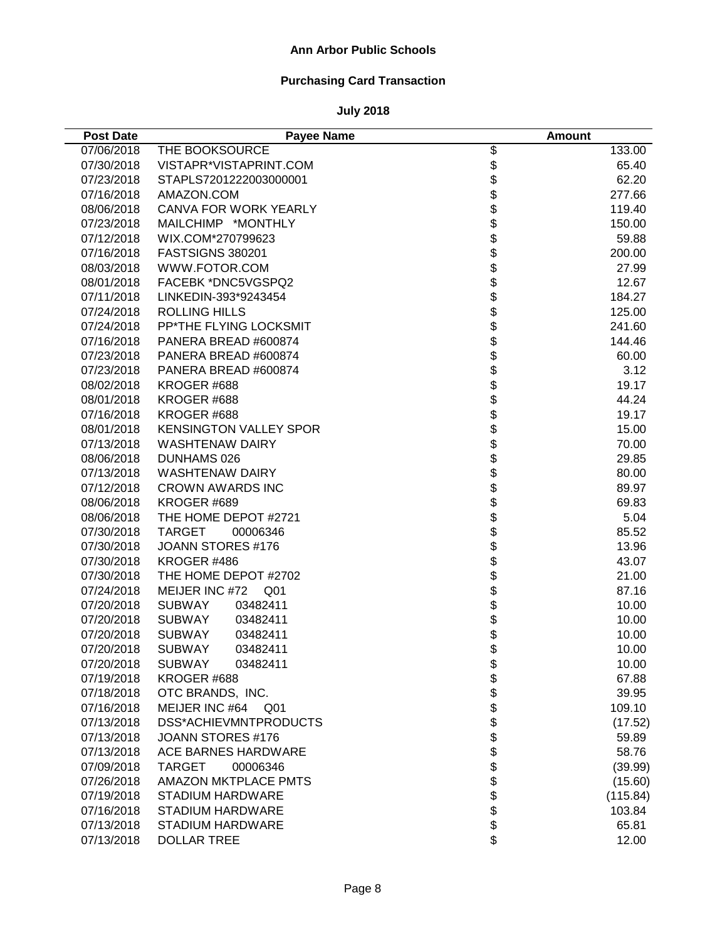# **Purchasing Card Transaction**

| <b>Post Date</b> | <b>Payee Name</b>                 |                   | <b>Amount</b> |
|------------------|-----------------------------------|-------------------|---------------|
| 07/06/2018       | THE BOOKSOURCE                    |                   | 133.00        |
| 07/30/2018       | VISTAPR*VISTAPRINT.COM            |                   | 65.40         |
| 07/23/2018       | STAPLS7201222003000001            |                   | 62.20         |
| 07/16/2018       | AMAZON.COM                        |                   | 277.66        |
| 08/06/2018       | CANVA FOR WORK YEARLY             |                   | 119.40        |
| 07/23/2018       | MAILCHIMP *MONTHLY                |                   | 150.00        |
| 07/12/2018       | WIX.COM*270799623                 |                   | 59.88         |
| 07/16/2018       | FASTSIGNS 380201                  |                   | 200.00        |
| 08/03/2018       | WWW.FOTOR.COM                     |                   | 27.99         |
| 08/01/2018       | FACEBK *DNC5VGSPQ2                |                   | 12.67         |
| 07/11/2018       | LINKEDIN-393*9243454              |                   | 184.27        |
| 07/24/2018       | ROLLING HILLS                     |                   | 125.00        |
| 07/24/2018       | PP*THE FLYING LOCKSMIT            |                   | 241.60        |
| 07/16/2018       | PANERA BREAD #600874              |                   | 144.46        |
| 07/23/2018       | PANERA BREAD #600874              |                   | 60.00         |
| 07/23/2018       | PANERA BREAD #600874              |                   | 3.12          |
| 08/02/2018       | KROGER #688                       |                   | 19.17         |
| 08/01/2018       | KROGER #688                       |                   | 44.24         |
| 07/16/2018       | KROGER #688                       |                   | 19.17         |
| 08/01/2018       | <b>KENSINGTON VALLEY SPOR</b>     |                   | 15.00         |
| 07/13/2018       | <b>WASHTENAW DAIRY</b>            |                   | 70.00         |
| 08/06/2018       | DUNHAMS 026                       |                   | 29.85         |
| 07/13/2018       | <b>WASHTENAW DAIRY</b>            |                   | 80.00         |
| 07/12/2018       | <b>CROWN AWARDS INC</b>           |                   | 89.97         |
| 08/06/2018       | KROGER #689                       |                   | 69.83         |
| 08/06/2018       | THE HOME DEPOT #2721              |                   | 5.04          |
| 07/30/2018       | <b>TARGET</b><br>00006346         |                   | 85.52         |
| 07/30/2018       | JOANN STORES #176                 |                   | 13.96         |
| 07/30/2018       | KROGER #486                       |                   | 43.07         |
| 07/30/2018       | THE HOME DEPOT #2702              |                   | 21.00         |
| 07/24/2018       | MEIJER INC #72<br>Q <sub>01</sub> |                   | 87.16         |
| 07/20/2018       | <b>SUBWAY</b><br>03482411         |                   | 10.00         |
| 07/20/2018       | <b>SUBWAY</b><br>03482411         |                   | 10.00         |
| 07/20/2018       | <b>SUBWAY</b><br>03482411         |                   | 10.00         |
| 07/20/2018       | <b>SUBWAY</b><br>03482411         |                   | 10.00         |
| 07/20/2018       | <b>SUBWAY</b><br>03482411         | \$                | 10.00         |
| 07/19/2018       | KROGER #688                       |                   | 67.88         |
| 07/18/2018       | OTC BRANDS, INC.                  |                   | 39.95         |
| 07/16/2018       | MEIJER INC #64<br>Q01             |                   | 109.10        |
| 07/13/2018       | DSS*ACHIEVMNTPRODUCTS             |                   | (17.52)       |
| 07/13/2018       | JOANN STORES #176                 |                   | 59.89         |
| 07/13/2018       | ACE BARNES HARDWARE               | <b>8888888888</b> | 58.76         |
| 07/09/2018       | TARGET<br>00006346                |                   | (39.99)       |
| 07/26/2018       | <b>AMAZON MKTPLACE PMTS</b>       |                   | (15.60)       |
| 07/19/2018       | <b>STADIUM HARDWARE</b>           |                   | (115.84)      |
| 07/16/2018       | <b>STADIUM HARDWARE</b>           |                   | 103.84        |
| 07/13/2018       | <b>STADIUM HARDWARE</b>           |                   | 65.81         |
| 07/13/2018       | <b>DOLLAR TREE</b>                | \$                | 12.00         |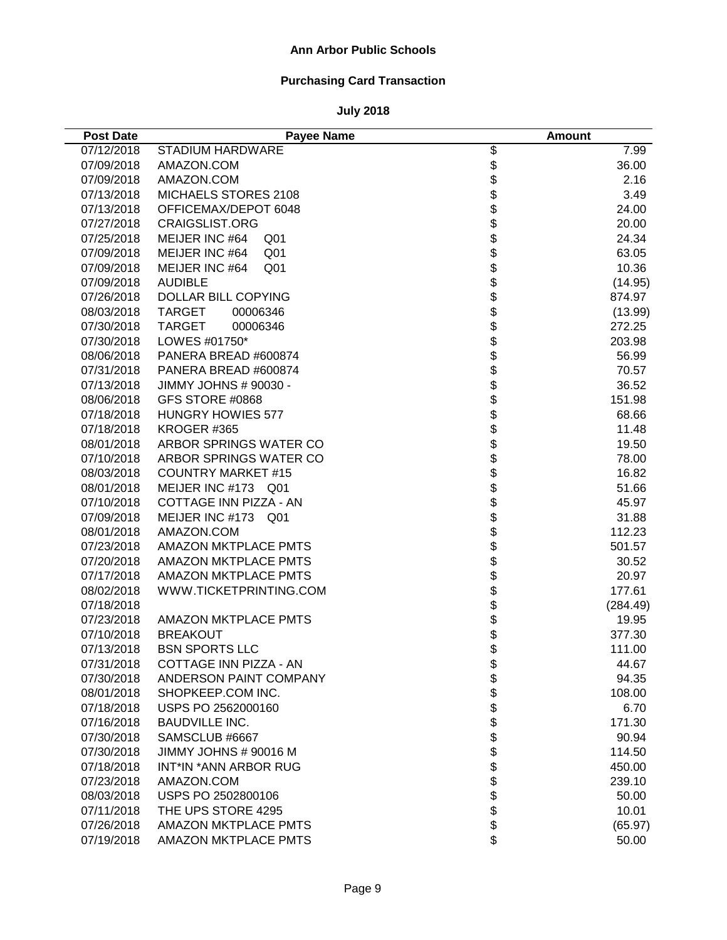# **Purchasing Card Transaction**

| <b>Post Date</b> | <b>Payee Name</b>                  |                            | <b>Amount</b> |
|------------------|------------------------------------|----------------------------|---------------|
| 07/12/2018       | STADIUM HARDWARE                   |                            | 7.99          |
| 07/09/2018       | AMAZON.COM                         |                            | 36.00         |
| 07/09/2018       | AMAZON.COM                         |                            | 2.16          |
| 07/13/2018       | MICHAELS STORES 2108               |                            | 3.49          |
| 07/13/2018       | OFFICEMAX/DEPOT 6048               |                            | 24.00         |
| 07/27/2018       | <b>CRAIGSLIST.ORG</b>              |                            | 20.00         |
| 07/25/2018       | MEIJER INC #64<br>Q <sub>01</sub>  |                            | 24.34         |
| 07/09/2018       | MEIJER INC #64<br>Q <sub>01</sub>  |                            | 63.05         |
| 07/09/2018       | MEIJER INC #64<br>Q <sub>01</sub>  |                            | 10.36         |
| 07/09/2018       | <b>AUDIBLE</b>                     |                            | (14.95)       |
| 07/26/2018       | <b>DOLLAR BILL COPYING</b>         |                            | 874.97        |
| 08/03/2018       | <b>TARGET</b><br>00006346          |                            | (13.99)       |
| 07/30/2018       | TARGET<br>00006346                 |                            | 272.25        |
| 07/30/2018       | LOWES #01750*                      |                            | 203.98        |
| 08/06/2018       | PANERA BREAD #600874               |                            | 56.99         |
| 07/31/2018       | PANERA BREAD #600874               |                            | 70.57         |
| 07/13/2018       | JIMMY JOHNS # 90030 -              |                            | 36.52         |
| 08/06/2018       | GFS STORE #0868                    |                            | 151.98        |
| 07/18/2018       | <b>HUNGRY HOWIES 577</b>           |                            | 68.66         |
| 07/18/2018       | KROGER #365                        |                            | 11.48         |
| 08/01/2018       | ARBOR SPRINGS WATER CO             |                            | 19.50         |
| 07/10/2018       | ARBOR SPRINGS WATER CO             |                            | 78.00         |
| 08/03/2018       | <b>COUNTRY MARKET #15</b>          |                            | 16.82         |
| 08/01/2018       | MEIJER INC #173 Q01                |                            | 51.66         |
| 07/10/2018       | COTTAGE INN PIZZA - AN             |                            | 45.97         |
| 07/09/2018       | MEIJER INC #173<br>Q <sub>01</sub> |                            | 31.88         |
| 08/01/2018       | AMAZON.COM                         |                            | 112.23        |
| 07/23/2018       | <b>AMAZON MKTPLACE PMTS</b>        |                            | 501.57        |
| 07/20/2018       | <b>AMAZON MKTPLACE PMTS</b>        |                            | 30.52         |
| 07/17/2018       | <b>AMAZON MKTPLACE PMTS</b>        |                            | 20.97         |
| 08/02/2018       | WWW.TICKETPRINTING.COM             |                            | 177.61        |
| 07/18/2018       |                                    |                            | (284.49)      |
| 07/23/2018       | AMAZON MKTPLACE PMTS               |                            | 19.95         |
| 07/10/2018       | <b>BREAKOUT</b>                    |                            | 377.30        |
| 07/13/2018       | <b>BSN SPORTS LLC</b>              |                            | 111.00        |
| 07/31/2018       | COTTAGE INN PIZZA - AN             | \$                         | 44.67         |
| 07/30/2018       | ANDERSON PAINT COMPANY             |                            | 94.35         |
| 08/01/2018       | SHOPKEEP.COM INC.                  |                            | 108.00        |
| 07/18/2018       | USPS PO 2562000160                 |                            | 6.70          |
| 07/16/2018       | <b>BAUDVILLE INC.</b>              |                            | 171.30        |
| 07/30/2018       | SAMSCLUB #6667                     |                            | 90.94         |
| 07/30/2018       | JIMMY JOHNS # 90016 M              | \$\$\$\$\$\$\$\$\$\$\$\$\$ | 114.50        |
| 07/18/2018       | INT*IN *ANN ARBOR RUG              |                            | 450.00        |
| 07/23/2018       | AMAZON.COM                         |                            | 239.10        |
| 08/03/2018       | USPS PO 2502800106                 |                            | 50.00         |
| 07/11/2018       | THE UPS STORE 4295                 |                            | 10.01         |
| 07/26/2018       | <b>AMAZON MKTPLACE PMTS</b>        |                            | (65.97)       |
| 07/19/2018       | <b>AMAZON MKTPLACE PMTS</b>        | \$                         | 50.00         |